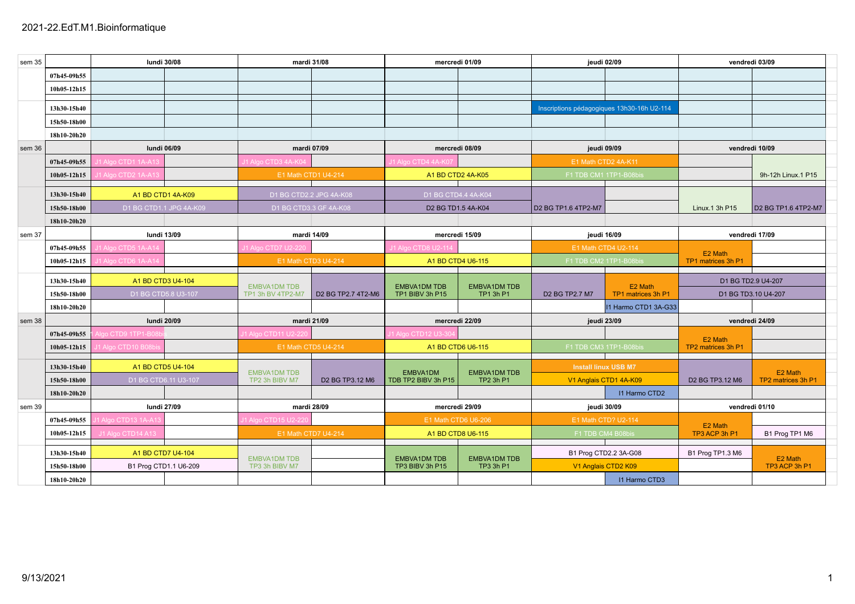| sem 35 | lundi 30/08 |                         | mardi 31/08 |                     | mercredi 01/09          |                                            | jeudi 02/09         |                                            | vendredi 03/09       |                                                     |                     |
|--------|-------------|-------------------------|-------------|---------------------|-------------------------|--------------------------------------------|---------------------|--------------------------------------------|----------------------|-----------------------------------------------------|---------------------|
|        | 07h45-09h55 |                         |             |                     |                         |                                            |                     |                                            |                      |                                                     |                     |
|        | 10h05-12h15 |                         |             |                     |                         |                                            |                     |                                            |                      |                                                     |                     |
|        |             |                         |             |                     |                         |                                            |                     |                                            |                      |                                                     |                     |
|        | 13h30-15h40 |                         |             |                     |                         |                                            |                     | Inscriptions pédagogiques 13h30-16h U2-114 |                      |                                                     |                     |
|        | 15h50-18h00 |                         |             |                     |                         |                                            |                     |                                            |                      |                                                     |                     |
|        | 18h10-20h20 |                         |             |                     |                         |                                            |                     |                                            |                      |                                                     |                     |
| sem 36 |             | lundi 06/09             |             | mardi 07/09         |                         | mercredi 08/09                             |                     | jeudi 09/09                                |                      | vendredi 10/09                                      |                     |
|        | 07h45-09h55 | 11 Algo CTD1 1A-A13     |             | 11 Algo CTD3 4A-KC  |                         | J1 Algo CTD4 4A-K07                        |                     | E1 Math CTD2 4A-K11                        |                      |                                                     |                     |
|        | 10h05-12h15 | 11 Algo CTD2 1A-A13     |             |                     | E1 Math CTD1 U4-214     | A1 BD CTD2 4A-K05                          |                     | F1 TDB CM1 1TP1-B08bis                     |                      |                                                     | 9h-12h Linux.1 P15  |
|        |             |                         |             |                     |                         |                                            |                     |                                            |                      |                                                     |                     |
|        | 13h30-15h40 | A1 BD CTD1 4A-K09       |             |                     | D1 BG CTD2.2 JPG 4A-K08 | D1 BG CTD4.4 4A-K04                        |                     |                                            |                      |                                                     |                     |
|        | 15h50-18h00 | D1 BG CTD1.1 JPG 4A-K09 |             |                     | D1 BG CTD3.3 GF 4A-K08  | D2 BG TD1.5 4A-K04                         |                     | D2 BG TP1.6 4TP2-M7                        |                      | Linux.1 3h P15                                      | D2 BG TP1.6 4TP2-M7 |
|        | 18h10-20h20 |                         |             |                     |                         |                                            |                     |                                            |                      |                                                     |                     |
| sem 37 | lundi 13/09 |                         | mardi 14/09 |                     | mercredi 15/09          |                                            | jeudi 16/09         |                                            | vendredi 17/09       |                                                     |                     |
|        | 07h45-09h55 | 11 Algo CTD5 1A-A14     |             | 11 Algo CTD7 U2-220 |                         | 11 Algo CTD8 U2-11                         |                     | E1 Math CTD4 U2-114                        |                      | E2 Math                                             |                     |
|        | 10h05-12h15 | 11 Algo CTD6 1A-A14     |             | E1 Math CTD3 U4-214 |                         | A1 BD CTD4 U6-115                          |                     | F1 TDB CM2 1TP1-B08bis                     |                      | TP1 matrices 3h P1                                  |                     |
|        |             |                         |             |                     |                         |                                            |                     |                                            |                      |                                                     |                     |
|        | 13h30-15h40 | A1 BD CTD3 U4-104       |             | <b>EMBVA1DM TDB</b> |                         | <b>EMBVA1DM TDB</b><br><b>EMBVA1DM TDB</b> |                     | E2 Math                                    |                      | D1 BG TD2.9 U4-207                                  |                     |
|        | 15h50-18h00 | D1 BG CTD5.8 U3-107     |             | TP1 3h BV 4TP2-M7   | D2 BG TP2.7 4T2-M6      | TP1 BIBV 3h P15                            | TP1 3h P1           | D2 BG TP2.7 M7                             | TP1 matrices 3h P1   | D1 BG TD3.10 U4-207                                 |                     |
|        | 18h10-20h20 |                         |             |                     |                         |                                            |                     |                                            | I1 Harmo CTD1 3A-G33 |                                                     |                     |
| sem 38 |             | <b>lundi 20/09</b>      |             | mardi 21/09         |                         | mercredi 22/09                             |                     | jeudi 23/09                                |                      | vendredi 24/09                                      |                     |
|        | 07h45-09h55 | lgo CTD9 1TP1-B08       |             | 11 Algo CTD11 U2-22 |                         | 11 Algo CTD12 U3-3                         |                     |                                            |                      | E2 Math                                             |                     |
|        | 10h05-12h15 | 1 Algo CTD10 B08        |             | E1 Math CTD5 U4-214 |                         | A1 BD CTD6 U6-115                          |                     | F1 TDB CM3 1TP1-B08bis                     |                      | TP2 matrices 3h P1                                  |                     |
|        |             |                         |             |                     |                         |                                            |                     |                                            |                      |                                                     |                     |
|        | 13h30-15h40 | A1 BD CTD5 U4-104       |             | <b>EMBVA1DM TDB</b> |                         | EMBVA1DM                                   | <b>EMBVA1DM TDB</b> | <b>Install linux USB M7</b>                |                      |                                                     | E2 Math             |
|        | 15h50-18h00 | D1 BG CTD6.11 U3-107    |             | TP2 3h BIBV M7      | D2 BG TP3.12 M6         | TDB TP2 BIBV 3h P15                        | TP2 3h P1           | V1 Anglais CTD1 4A-K09                     |                      | D <sub>2</sub> BG TP <sub>3.12</sub> M <sub>6</sub> | TP2 matrices 3h P1  |
|        | 18h10-20h20 |                         |             |                     |                         |                                            |                     |                                            | <b>I1 Harmo CTD2</b> |                                                     |                     |
| sem 39 |             | lundi 27/09             |             |                     | mardi 28/09             | mercredi 29/09                             |                     | jeudi 30/09                                |                      | vendredi 01/10                                      |                     |
|        | 07h45-09h55 | 1 Algo CTD13 1A-A13     |             | J1 Algo CTD15 U2-22 |                         | E1 Math CTD6 U6-206                        |                     | E1 Math CTD? U2-114                        |                      | E2 Math                                             |                     |
|        | 10h05-12h15 | J1 Algo CTD14 A13       |             | E1 Math CTD7 U4-214 |                         | A1 BD CTD8 U6-115                          |                     | F1 TDB CM4 B08bis                          |                      | TP3 ACP 3h P1                                       | B1 Prog TP1 M6      |
|        |             |                         |             |                     |                         |                                            |                     |                                            |                      |                                                     |                     |
|        | 13h30-15h40 | A1 BD CTD7 U4-104       |             | <b>EMBVA1DM TDB</b> |                         | <b>EMBVA1DM TDB</b>                        | <b>EMBVA1DM TDB</b> | B1 Prog CTD2.2 3A-G08                      |                      | B1 Prog TP1.3 M6                                    | E2 Math             |
|        | 15h50-18h00 | B1 Prog CTD1.1 U6-209   |             | TP3 3h BIBV M7      |                         | TP3 BIBV 3h P15                            | TP3 3h P1           | V1 Anglais CTD2 K09                        |                      |                                                     | TP3 ACP 3h P1       |
|        | 18h10-20h20 |                         |             |                     |                         |                                            |                     |                                            | <b>I1 Harmo CTD3</b> |                                                     |                     |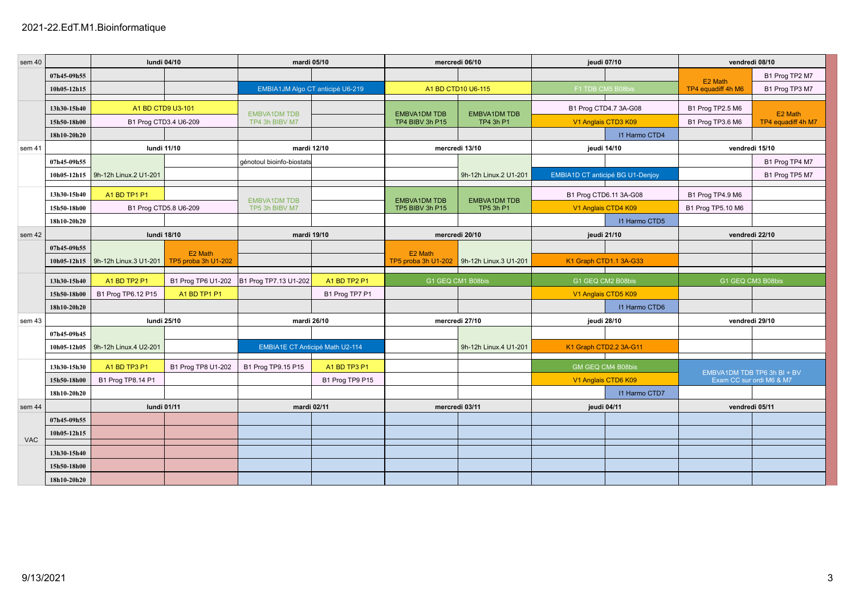| sem 40     |             | lundi 04/10           |                                | mardi 05/10                            |                 | mercredi 06/10                         |                                  | jeudi 07/10                             |                      | vendredi 08/10                                          |                    |
|------------|-------------|-----------------------|--------------------------------|----------------------------------------|-----------------|----------------------------------------|----------------------------------|-----------------------------------------|----------------------|---------------------------------------------------------|--------------------|
|            | 07h45-09h55 |                       |                                |                                        |                 |                                        |                                  |                                         |                      |                                                         | B1 Prog TP2 M7     |
|            | 10h05-12h15 |                       |                                | EMBIA1JM Algo CT anticipé U6-219       |                 | A1 BD CTD10 U6-115                     |                                  | F1 TDB CM5 B08bis                       |                      | E2 Math<br>TP4 equadiff 4h M6                           | B1 Prog TP3 M7     |
|            |             |                       |                                |                                        |                 |                                        |                                  |                                         |                      |                                                         |                    |
|            | 13h30-15h40 | A1 BD CTD9 U3-101     |                                | <b>EMBVA1DM TDB</b>                    |                 | <b>EMBVA1DM TDB</b>                    | <b>EMBVA1DM TDB</b>              | B1 Prog CTD4.7 3A-G08                   |                      | B1 Prog TP2.5 M6                                        | E2 Math            |
|            | 15h50-18h00 | B1 Prog CTD3.4 U6-209 |                                | TP4 3h BIBV M7                         |                 | TP4 BIBV 3h P15                        | TP4 3h P1                        | V1 Anglais CTD3 K09                     |                      | B1 Prog TP3.6 M6                                        | TP4 equadiff 4h M7 |
|            | 18h10-20h20 |                       |                                |                                        |                 |                                        |                                  |                                         | <b>I1 Harmo CTD4</b> |                                                         |                    |
| sem 41     |             | <b>lundi 11/10</b>    |                                | mardi 12/10                            |                 |                                        | mercredi 13/10                   | jeudi 14/10                             |                      | vendredi 15/10                                          |                    |
|            | 07h45-09h55 |                       |                                | génotoul bioinfo-biostats              |                 |                                        |                                  |                                         |                      |                                                         | B1 Prog TP4 M7     |
|            | 10h05-12h15 | 9h-12h Linux.2 U1-201 |                                |                                        |                 |                                        | 9h-12h Linux.2 U1-201            | <b>EMBIA1D CT anticipé BG U1-Denjoy</b> |                      |                                                         | B1 Prog TP5 M7     |
|            | 13h30-15h40 | A1 BD TP1 P1          |                                |                                        |                 |                                        |                                  | B1 Prog CTD6.11 3A-G08                  |                      | B1 Prog TP4.9 M6                                        |                    |
|            | 15h50-18h00 | B1 Prog CTD5.8 U6-209 |                                | <b>EMBVA1DM TDB</b><br>TP5 3h BIBV M7  |                 | <b>EMBVA1DM TDB</b><br>TP5 BIBV 3h P15 | <b>EMBVA1DM TDB</b><br>TP5 3h P1 | V1 Anglais CTD4 K09                     |                      | B1 Prog TP5.10 M6                                       |                    |
|            | 18h10-20h20 |                       |                                |                                        |                 |                                        |                                  |                                         | <b>I1 Harmo CTD5</b> |                                                         |                    |
| sem 42     |             | <b>lundi 18/10</b>    |                                | mardi 19/10                            |                 | mercredi 20/10                         |                                  | jeudi 21/10                             |                      | vendredi 22/10                                          |                    |
|            | 07h45-09h55 |                       |                                |                                        |                 |                                        |                                  |                                         |                      |                                                         |                    |
|            | 10h05-12h15 | 9h-12h Linux.3 U1-201 | E2 Math<br>TP5 proba 3h U1-202 |                                        |                 | E2 Math<br>TP5 proba 3h U1-202         | 9h-12h Linux.3 U1-201            | K1 Graph CTD1.1 3A-G33                  |                      |                                                         |                    |
|            |             |                       |                                |                                        |                 |                                        |                                  |                                         |                      |                                                         |                    |
|            | 13h30-15h40 | A1 BD TP2 P1          | B1 Prog TP6 U1-202             | B1 Prog TP7.13 U1-202                  | A1 BD TP2 P1    | G1 GEQ CM1 B08bis                      |                                  | G1 GEQ CM2 B08bis                       |                      | G1 GEQ CM3 B08bis                                       |                    |
|            | 15h50-18h00 | B1 Prog TP6.12 P15    | A1 BD TP1 P1                   |                                        | B1 Prog TP7 P1  |                                        |                                  | V1 Anglais CTD5 K09                     |                      |                                                         |                    |
|            | 18h10-20h20 |                       |                                |                                        |                 |                                        |                                  |                                         | <b>I1 Harmo CTD6</b> |                                                         |                    |
| sem 43     |             | lundi 25/10           |                                | mardi 26/10                            |                 | mercredi 27/10                         |                                  | jeudi 28/10                             |                      | vendredi 29/10                                          |                    |
|            | 07h45-09h45 |                       |                                |                                        |                 |                                        |                                  |                                         |                      |                                                         |                    |
|            | 10h05-12h05 | 9h-12h Linux.4 U2-201 |                                | <b>EMBIA1E CT Anticipé Math U2-114</b> |                 |                                        | 9h-12h Linux.4 U1-201            | K1 Graph CTD2.2 3A-G11                  |                      |                                                         |                    |
|            | 13h30-15h30 | A1 BD TP3 P1          | B1 Prog TP8 U1-202             | B1 Prog TP9.15 P15                     | A1 BD TP3 P1    |                                        |                                  | GM GEQ CM4 B08bis                       |                      |                                                         |                    |
|            | 15h50-18h00 | B1 Prog TP8.14 P1     |                                |                                        | B1 Prog TP9 P15 |                                        |                                  | V1 Anglais CTD6 K09                     |                      | EMBVA1DM TDB TP6 3h BI + BV<br>Exam CC sur ordi M6 & M7 |                    |
|            | 18h10-20h20 |                       |                                |                                        |                 |                                        |                                  |                                         | <b>I1 Harmo CTD7</b> |                                                         |                    |
| sem 44     |             | lundi 01/11           |                                | mardi 02/11                            |                 | mercredi 03/11                         |                                  | jeudi 04/11                             |                      | vendredi 05/11                                          |                    |
|            | 07h45-09h55 |                       |                                |                                        |                 |                                        |                                  |                                         |                      |                                                         |                    |
| <b>VAC</b> | 10h05-12h15 |                       |                                |                                        |                 |                                        |                                  |                                         |                      |                                                         |                    |
|            | 13h30-15h40 |                       |                                |                                        |                 |                                        |                                  |                                         |                      |                                                         |                    |
|            | 15h50-18h00 |                       |                                |                                        |                 |                                        |                                  |                                         |                      |                                                         |                    |
|            | 18h10-20h20 |                       |                                |                                        |                 |                                        |                                  |                                         |                      |                                                         |                    |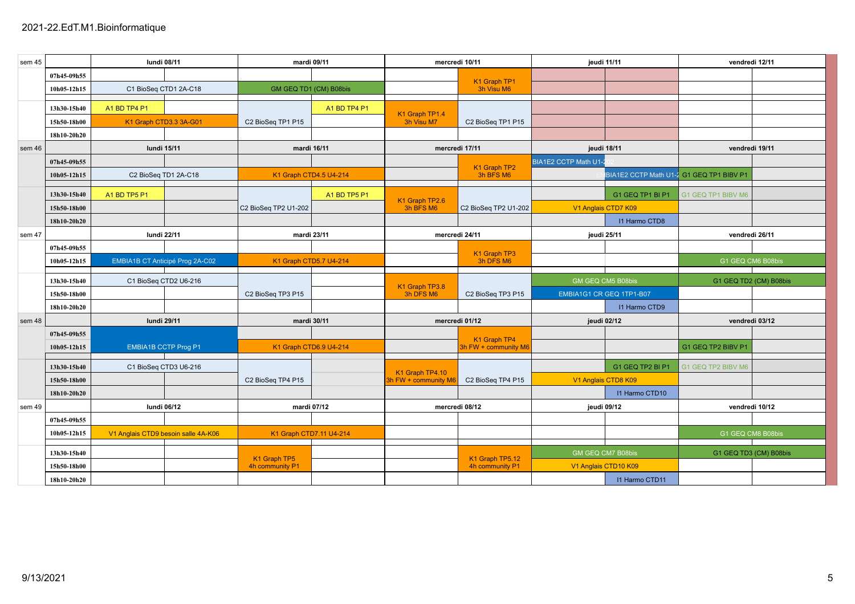| sem 45 |                            | <b>lundi 08/11</b>                  |  | mardi 09/11             |              | mercredi 10/11                          |                                      | jeudi 11/11              |                                          | vendredi 12/11         |  |
|--------|----------------------------|-------------------------------------|--|-------------------------|--------------|-----------------------------------------|--------------------------------------|--------------------------|------------------------------------------|------------------------|--|
|        | 07h45-09h55                |                                     |  |                         |              |                                         |                                      |                          |                                          |                        |  |
|        | 10h05-12h15                | C1 BioSeq CTD1 2A-C18               |  | GM GEQ TD1 (CM) B08bis  |              |                                         | K1 Graph TP1<br>3h Visu M6           |                          |                                          |                        |  |
|        |                            |                                     |  |                         |              |                                         |                                      |                          |                                          |                        |  |
|        | 13h30-15h40                | A1 BD TP4 P1                        |  |                         | A1 BD TP4 P1 | K1 Graph TP1.4                          |                                      |                          |                                          |                        |  |
|        | 15h50-18h00                | K1 Graph CTD3.3 3A-G01              |  | C2 BioSeg TP1 P15       |              | 3h Visu M7                              | C2 BioSeg TP1 P15                    |                          |                                          |                        |  |
|        | 18h10-20h20                |                                     |  |                         |              |                                         |                                      |                          |                                          |                        |  |
| sem 46 |                            | <b>lundi 15/11</b>                  |  | mardi 16/11             |              | mercredi 17/11                          |                                      | jeudi 18/11              |                                          | vendredi 19/11         |  |
|        | 07h45-09h55                |                                     |  |                         |              |                                         | K1 Graph TP2                         | BIA1E2 CCTP Math U1-     |                                          |                        |  |
|        | 10h05-12h15                | C2 BioSeq TD1 2A-C18                |  | K1 Graph CTD4.5 U4-214  |              |                                         | 3h BFS M6                            |                          | BIA1E2 CCTP Math U1-2 G1 GEQ TP1 BIBV P1 |                        |  |
|        | 13h30-15h40                | A1 BD TP5 P1                        |  |                         | A1 BD TP5 P1 |                                         |                                      |                          | G1 GEQ TP1 BI P1                         | G1 GEQ TP1 BIBV M6     |  |
|        | 15h50-18h00                |                                     |  | C2 BioSeg TP2 U1-202    |              | K1 Graph TP2.6<br>3h BFS M6             | C2 BioSeg TP2 U1-202                 | V1 Anglais CTD7 K09      |                                          |                        |  |
|        | 18h10-20h20                |                                     |  |                         |              |                                         |                                      |                          | <b>I1 Harmo CTD8</b>                     |                        |  |
| sem 47 |                            | lundi 22/11                         |  | mardi 23/11             |              | mercredi 24/11                          |                                      | jeudi 25/11              |                                          | vendredi 26/11         |  |
|        | 07h45-09h55                |                                     |  |                         |              |                                         |                                      |                          |                                          |                        |  |
|        | 10h05-12h15                | EMBIA1B CT Anticipé Prog 2A-C02     |  | K1 Graph CTD5.7 U4-214  |              |                                         | K1 Graph TP3<br>3h DFS M6            |                          |                                          | G1 GEQ CM6 B08bis      |  |
|        |                            |                                     |  |                         |              |                                         |                                      |                          |                                          |                        |  |
|        |                            |                                     |  |                         |              |                                         |                                      |                          |                                          |                        |  |
|        | 13h30-15h40                | C1 BioSeq CTD2 U6-216               |  |                         |              | K1 Graph TP3.8                          |                                      | GM GEQ CM5 B08bis        |                                          | G1 GEQ TD2 (CM) B08bis |  |
|        | 15h50-18h00                |                                     |  | C2 BioSeg TP3 P15       |              | 3h DFS M6                               | C2 BioSeg TP3 P15                    | EMBIA1G1 CR GEQ 1TP1-B07 |                                          |                        |  |
|        | 18h10-20h20                |                                     |  |                         |              |                                         |                                      |                          | 11 Harmo CTD9                            |                        |  |
| sem 48 |                            | <b>lundi 29/11</b>                  |  | mardi 30/11             |              |                                         | mercredi 01/12                       | jeudi 02/12              |                                          | vendredi 03/12         |  |
|        | 07h45-09h55                |                                     |  |                         |              |                                         |                                      |                          |                                          |                        |  |
|        | 10h05-12h15                | <b>EMBIA1B CCTP Prog P1</b>         |  | K1 Graph CTD6.9 U4-214  |              |                                         | K1 Graph TP4<br>3h FW + community M6 |                          |                                          | G1 GEQ TP2 BIBV P1     |  |
|        | 13h30-15h40                | C1 BioSeq CTD3 U6-216               |  |                         |              |                                         |                                      |                          | G1 GEQ TP2 BI P1                         | G1 GEQ TP2 BIBV M6     |  |
|        | 15h50-18h00                |                                     |  | C2 BioSeq TP4 P15       |              | K1 Graph TP4.10<br>3h FW + community M6 | C2 BioSeg TP4 P15                    | V1 Anglais CTD8 K09      |                                          |                        |  |
|        | 18h10-20h20                |                                     |  |                         |              |                                         |                                      |                          | 11 Harmo CTD10                           |                        |  |
| sem 49 |                            | lundi 06/12                         |  | mardi 07/12             |              |                                         | mercredi 08/12                       | jeudi 09/12              |                                          | vendredi 10/12         |  |
|        | 07h45-09h55                |                                     |  |                         |              |                                         |                                      |                          |                                          |                        |  |
|        | 10h05-12h15                | V1 Anglais CTD9 besoin salle 4A-K06 |  | K1 Graph CTD7.11 U4-214 |              |                                         |                                      |                          |                                          | G1 GEQ CM8 B08bis      |  |
|        |                            |                                     |  |                         |              |                                         |                                      |                          |                                          |                        |  |
|        | 13h30-15h40                |                                     |  | K1 Graph TP5            |              |                                         | K1 Graph TP5.12                      | GM GEQ CM7 B08bis        |                                          | G1 GEQ TD3 (CM) B08bis |  |
|        | 15h50-18h00<br>18h10-20h20 |                                     |  | 4h community P1         |              |                                         | 4h community P1                      | V1 Anglais CTD10 K09     | <b>I1 Harmo CTD11</b>                    |                        |  |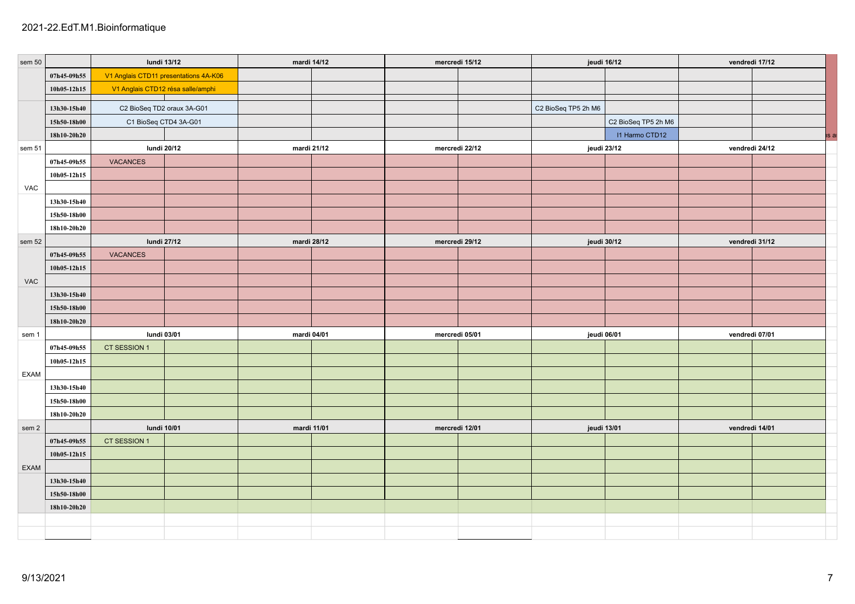| sem 50           |             | lundi 13/12                                         |  | mardi 14/12 |  | mercredi 15/12 |  | jeudi 16/12                   |                     | vendredi 17/12 |  |
|------------------|-------------|-----------------------------------------------------|--|-------------|--|----------------|--|-------------------------------|---------------------|----------------|--|
|                  | 07h45-09h55 | V1 Anglais CTD11 presentations 4A-K06               |  |             |  |                |  |                               |                     |                |  |
|                  | 10h05-12h15 | V1 Anglais CTD12 résa salle/amphi                   |  |             |  |                |  |                               |                     |                |  |
|                  |             |                                                     |  |             |  |                |  |                               |                     |                |  |
|                  | 13h30-15h40 | C2 BioSeq TD2 oraux 3A-G01<br>C1 BioSeq CTD4 3A-G01 |  |             |  |                |  | C2 BioSeq TP5 2h M6           |                     |                |  |
|                  | 15h50-18h00 |                                                     |  |             |  |                |  |                               | C2 BioSeq TP5 2h M6 |                |  |
|                  | 18h10-20h20 | lundi 20/12                                         |  | mardi 21/12 |  | mercredi 22/12 |  | I1 Harmo CTD12<br>jeudi 23/12 |                     | vendredi 24/12 |  |
| sem 51           | 07h45-09h55 | <b>VACANCES</b>                                     |  |             |  |                |  |                               |                     |                |  |
|                  | 10h05-12h15 |                                                     |  |             |  |                |  |                               |                     |                |  |
| VAC              |             |                                                     |  |             |  |                |  |                               |                     |                |  |
|                  | 13h30-15h40 |                                                     |  |             |  |                |  |                               |                     |                |  |
|                  | 15h50-18h00 |                                                     |  |             |  |                |  |                               |                     |                |  |
|                  | 18h10-20h20 |                                                     |  |             |  |                |  |                               |                     |                |  |
| sem 52           |             | lundi 27/12                                         |  | mardi 28/12 |  | mercredi 29/12 |  | jeudi 30/12                   |                     | vendredi 31/12 |  |
|                  | 07h45-09h55 | VACANCES                                            |  |             |  |                |  |                               |                     |                |  |
|                  | 10h05-12h15 |                                                     |  |             |  |                |  |                               |                     |                |  |
| <b>VAC</b>       |             |                                                     |  |             |  |                |  |                               |                     |                |  |
|                  | 13h30-15h40 |                                                     |  |             |  |                |  |                               |                     |                |  |
|                  | 15h50-18h00 |                                                     |  |             |  |                |  |                               |                     |                |  |
|                  | 18h10-20h20 |                                                     |  |             |  |                |  |                               |                     |                |  |
| sem 1            |             | lundi 03/01                                         |  | mardi 04/01 |  | mercredi 05/01 |  | jeudi 06/01                   |                     | vendredi 07/01 |  |
|                  | 07h45-09h55 | CT SESSION 1                                        |  |             |  |                |  |                               |                     |                |  |
|                  | 10h05-12h15 |                                                     |  |             |  |                |  |                               |                     |                |  |
| EXAM             |             |                                                     |  |             |  |                |  |                               |                     |                |  |
|                  | 13h30-15h40 |                                                     |  |             |  |                |  |                               |                     |                |  |
|                  | 15h50-18h00 |                                                     |  |             |  |                |  |                               |                     |                |  |
|                  | 18h10-20h20 |                                                     |  |             |  |                |  |                               |                     |                |  |
| sem <sub>2</sub> |             | lundi 10/01                                         |  | mardi 11/01 |  | mercredi 12/01 |  | jeudi 13/01                   |                     | vendredi 14/01 |  |
|                  | 07h45-09h55 | CT SESSION 1                                        |  |             |  |                |  |                               |                     |                |  |
|                  | 10h05-12h15 |                                                     |  |             |  |                |  |                               |                     |                |  |
| EXAM             |             |                                                     |  |             |  |                |  |                               |                     |                |  |
|                  | 13h30-15h40 |                                                     |  |             |  |                |  |                               |                     |                |  |
|                  | 15h50-18h00 |                                                     |  |             |  |                |  |                               |                     |                |  |
|                  | 18h10-20h20 |                                                     |  |             |  |                |  |                               |                     |                |  |
|                  |             |                                                     |  |             |  |                |  |                               |                     |                |  |
|                  |             |                                                     |  |             |  |                |  |                               |                     |                |  |